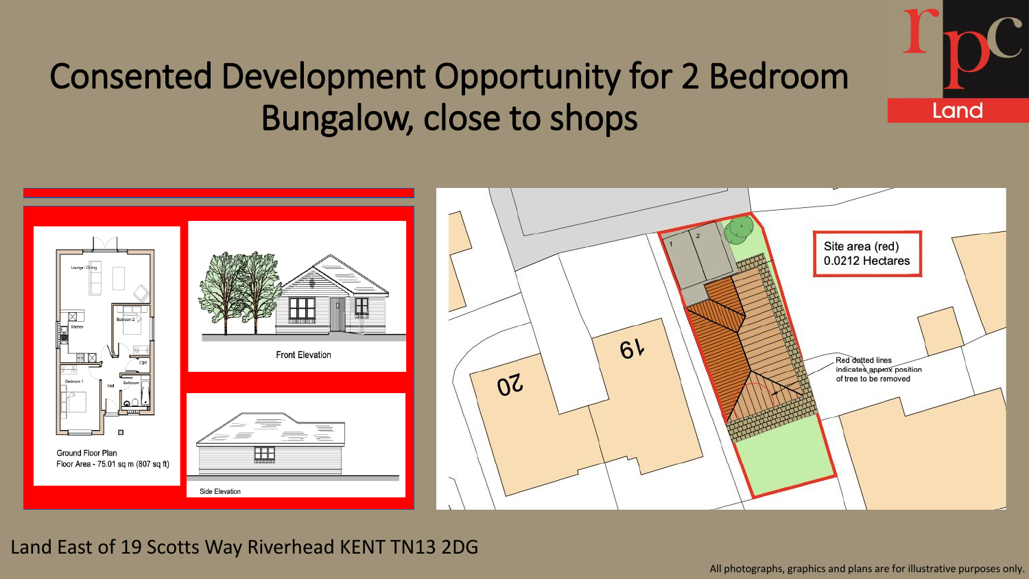

### Consented Development Opportunity for 2 Bedroom Bungalow, close to shops



### Land East of 19 Scotts Way Riverhead KENT TN13 2DG

All photographs, graphics and plans are for illustrative purposes only.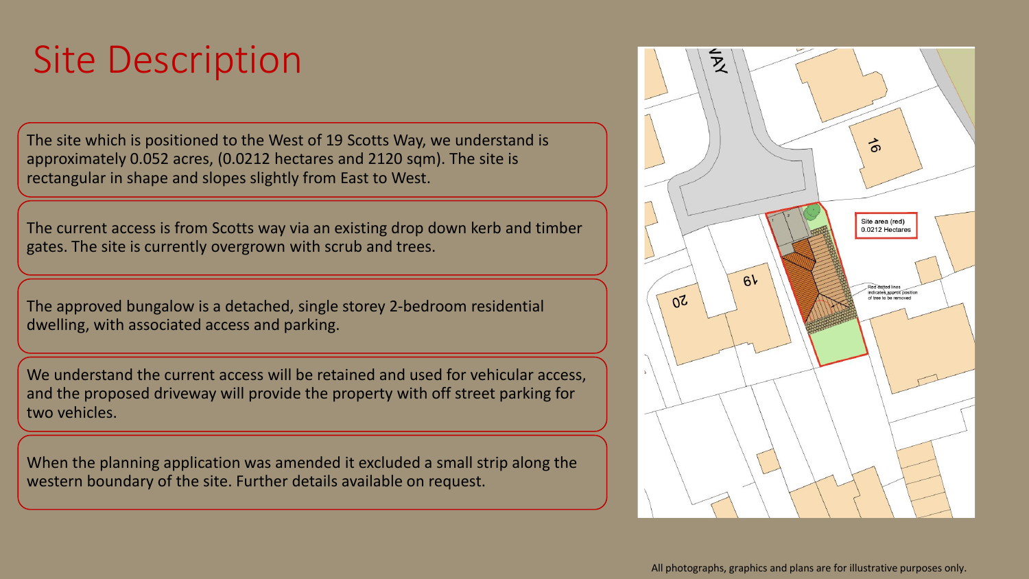## Site Description

The site which is positioned to the West of 19 Scotts Way, we understand is approximately 0.052 acres, (0.0212 hectares and 2120 sqm). The site is rectangular in shape and slopes slightly from East to West.

The current access is from Scotts way via an existing drop down kerb and timber gates. The site is currently overgrown with scrub and trees.

The approved bungalow is a detached, single storey 2-bedroom residential dwelling, with associated access and parking.

We understand the current access will be retained and used for vehicular access, and the proposed driveway will provide the property with off street parking for two vehicles.

When the planning application was amended it excluded a small strip along the western boundary of the site. Further details available on request.

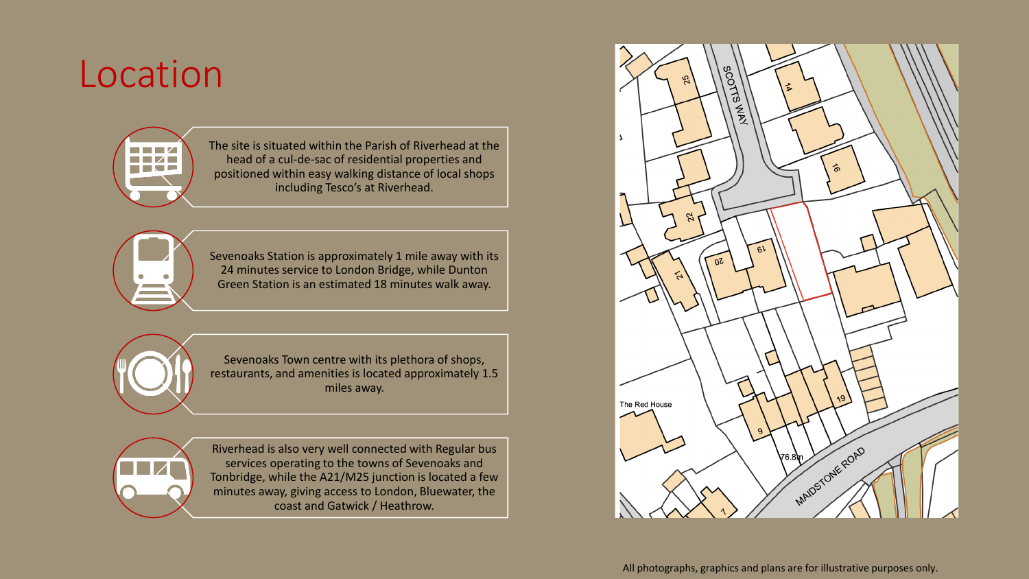### Location



The site is situated within the Parish of Riverhead at the head of a cul-de-sac of residential properties and positioned within easy walking distance of local shops including Tesco's at Riverhead.



Sevenoaks Station is approximately 1 mile away with its 24 minutes service to London Bridge, while Dunton Green Station is an estimated 18 minutes walk away.



Sevenoaks Town centre with its plethora of shops, restaurants, and amenities is located approximately 1.5 miles away.



Riverhead is also very well connected with Regular bus services operating to the towns of Sevenoaks and Tonbridge, while the A21/M25 junction is located a few minutes away, giving access to London, Bluewater, the coast and Gatwick / Heathrow.

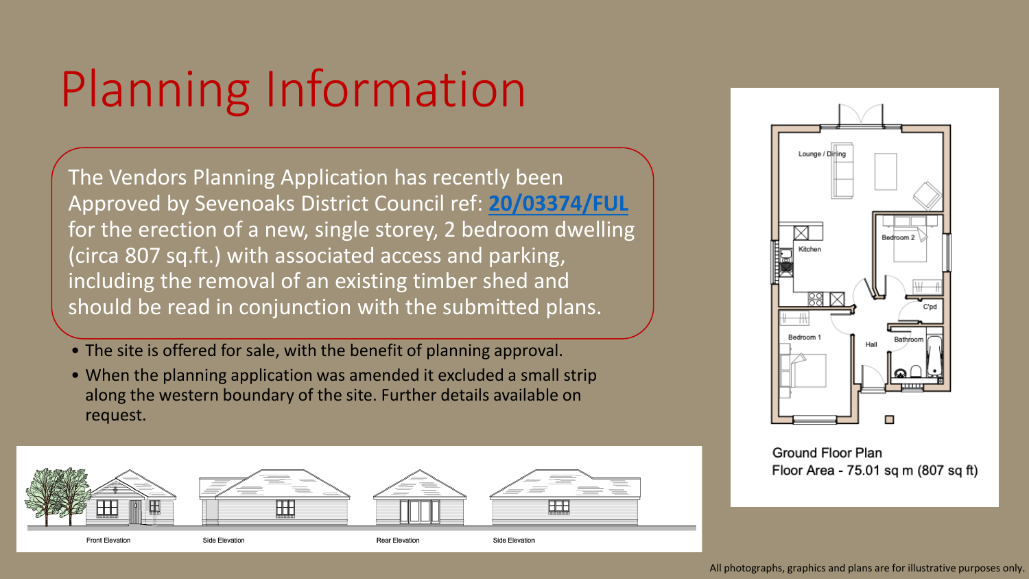# Planning Information

The Vendors Planning Application has recently been Approved by Sevenoaks District Council ref: **[20/03374/FUL](https://pa.sevenoaks.gov.uk/online-applications/applicationDetails.do?activeTab=documents&keyVal=QK1Z2VBKLNP00)**  for the erection of a new, single storey, 2 bedroom dwelling (circa 807 sq.ft.) with associated access and parking, including the removal of an existing timber shed and should be read in conjunction with the submitted plans.

- The site is offered for sale, with the benefit of planning approval.
- When the planning application was amended it excluded a small strip along the western boundary of the site. Further details available on request.





**Ground Floor Plan** Floor Area - 75.01 sq m (807 sq ft)

All photographs, graphics and plans are for illustrative purposes only.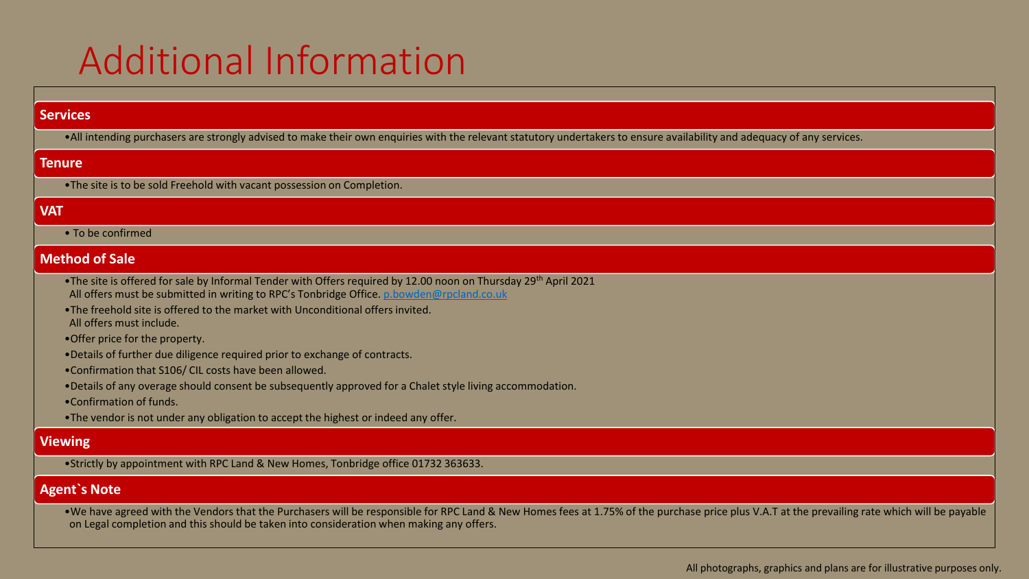### Additional Information

#### **Services**

•All intending purchasers are strongly advised to make their own enquiries with the relevant statutory undertakers to ensure availability and adequacy of any services.

#### **Tenure**

•The site is to be sold Freehold with vacant possession on Completion.

#### **VAT**

• To be confirmed

#### **Method of Sale**

- •The site is offered for sale by Informal Tender with Offers required by 12.00 noon on Thursday 29th April 2021 All offers must be submitted in writing to RPC's Tonbridge Office. [p.bowden@rpcland.co.uk](mailto:p.bowden@rpcland.co.uk)
- •The freehold site is offered to the market with Unconditional offers invited. All offers must include.
- •Offer price for the property.
- •Details of further due diligence required prior to exchange of contracts.
- •Confirmation that S106/ CIL costs have been allowed.
- •Details of any overage should consent be subsequently approved for a Chalet style living accommodation.
- •Confirmation of funds.
- •The vendor is not under any obligation to accept the highest or indeed any offer.

#### **Viewing**

•Strictly by appointment with RPC Land & New Homes, Tonbridge office 01732 363633.

#### **Agent`s Note**

•We have agreed with the Vendors that the Purchasers will be responsible for RPC Land & New Homes fees at 1.75% of the purchase price plus V.A.T at the prevailing rate which will be payable on Legal completion and this should be taken into consideration when making any offers.